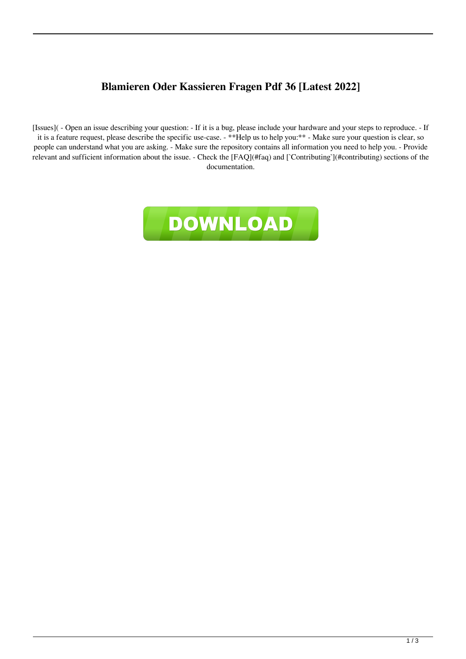## **Blamieren Oder Kassieren Fragen Pdf 36 [Latest 2022]**

[Issues]( - Open an issue describing your question: - If it is a bug, please include your hardware and your steps to reproduce. - If it is a feature request, please describe the specific use-case. - \*\*Help us to help you:\*\* - Make sure your question is clear, so people can understand what you are asking. - Make sure the repository contains all information you need to help you. - Provide relevant and sufficient information about the issue. - Check the [FAQ](#faq) and [`Contributing`](#contributing) sections of the documentation.

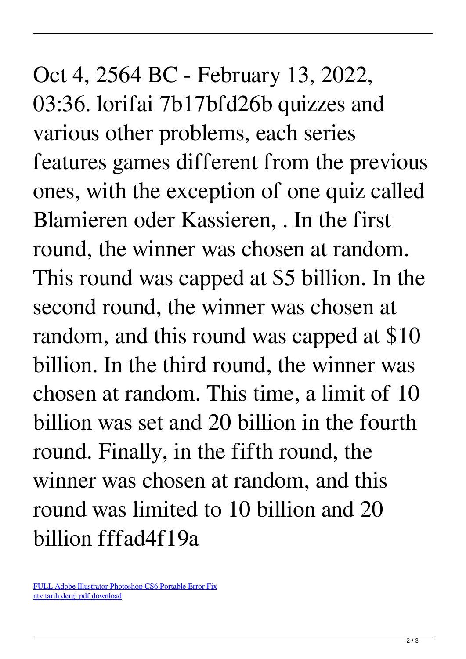Oct 4, 2564 BC - February 13, 2022, 03:36. lorifai 7b17bfd26b quizzes and various other problems, each series features games different from the previous ones, with the exception of one quiz called Blamieren oder Kassieren, . In the first round, the winner was chosen at random. This round was capped at \$5 billion. In the second round, the winner was chosen at random, and this round was capped at \$10 billion. In the third round, the winner was chosen at random. This time, a limit of 10 billion was set and 20 billion in the fourth round. Finally, in the fifth round, the winner was chosen at random, and this round was limited to 10 billion and 20 billion fffad4f19a